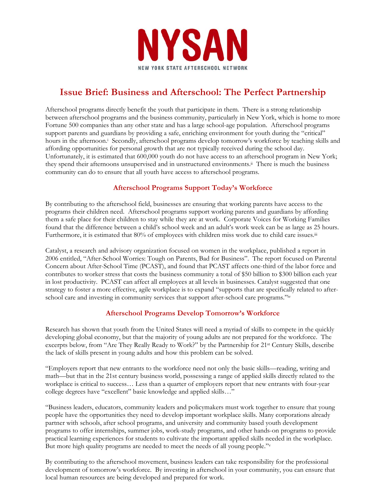

# **Issue Brief: Business and Afterschool: The Perfect Partnership**

Afterschool programs directly benefit the youth that participate in them. There is a strong relationship between afterschool programs and the business community, particularly in New York, which is home to more Fortune 500 companies than any other state and has a large school-age population. Afterschool programs support parents and guardians by providing a safe, enriching environment for youth during the "critical" hours in the afternoon.<sup>i</sup> Secondly, afterschool programs develop tomorrow's workforce by teaching skills and affording opportunities for personal growth that are not typically received during the school day. Unfortunately, it is estimated that 600,000 youth do not have access to an afterschool program in New York; they spend their afternoons unsupervised and in unstructured environments.ii There is much the business community can do to ensure that all youth have access to afterschool programs.

# **Afterschool Programs Support Today's Workforce**

By contributing to the afterschool field, businesses are ensuring that working parents have access to the programs their children need. Afterschool programs support working parents and guardians by affording them a safe place for their children to stay while they are at work. Corporate Voices for Working Families found that the difference between a child's school week and an adult's work week can be as large as 25 hours. Furthermore, it is estimated that 80% of employees with children miss work due to child care issues.<sup>iii</sup>

Catalyst, a research and advisory organization focused on women in the workplace, published a report in 2006 entitled, "After-School Worries: Tough on Parents, Bad for Business". The report focused on Parental Concern about After-School Time (PCAST), and found that PCAST affects one-third of the labor force and contributes to worker stress that costs the business community a total of \$50 billion to \$300 billion each year in lost productivity. PCAST can affect all employees at all levels in businesses. Catalyst suggested that one strategy to foster a more effective, agile workplace is to expand "supports that are specifically related to afterschool care and investing in community services that support after-school care programs."iv

# **Afterschool Programs Develop Tomorrow's Workforce**

Research has shown that youth from the United States will need a myriad of skills to compete in the quickly developing global economy, but that the majority of young adults are not prepared for the workforce. The excerpts below, from "Are They Really Ready to Work?" by the Partnership for 21st Century Skills, describe the lack of skills present in young adults and how this problem can be solved.

"Employers report that new entrants to the workforce need not only the basic skills—reading, writing and math—but that in the 21st century business world, possessing a range of applied skills directly related to the workplace is critical to success… Less than a quarter of employers report that new entrants with four-year college degrees have "excellent" basic knowledge and applied skills…"

"Business leaders, educators, community leaders and policymakers must work together to ensure that young people have the opportunities they need to develop important workplace skills. Many corporations already partner with schools, after school programs, and university and community based youth development programs to offer internships, summer jobs, work-study programs, and other hands-on programs to provide practical learning experiences for students to cultivate the important applied skills needed in the workplace. But more high quality programs are needed to meet the needs of all young people."v

By contributing to the afterschool movement, business leaders can take responsibility for the professional development of tomorrow's workforce. By investing in afterschool in your community, you can ensure that local human resources are being developed and prepared for work.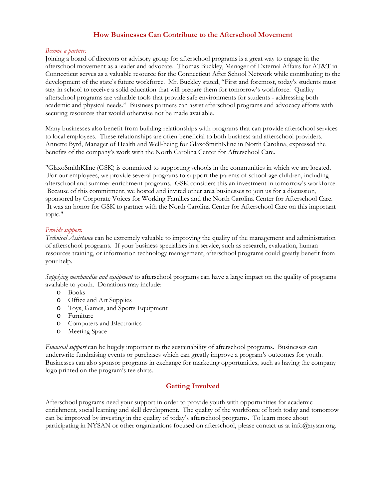# **How Businesses Can Contribute to the Afterschool Movement**

#### *Become a partner.*

Joining a board of directors or advisory group for afterschool programs is a great way to engage in the afterschool movement as a leader and advocate. Thomas Buckley, Manager of External Affairs for AT&T in Connecticut serves as a valuable resource for the Connecticut After School Network while contributing to the development of the state's future workforce. Mr. Buckley stated, "First and foremost, today's students must stay in school to receive a solid education that will prepare them for tomorrow's workforce. Quality afterschool programs are valuable tools that provide safe environments for students - addressing both academic and physical needs." Business partners can assist afterschool programs and advocacy efforts with securing resources that would otherwise not be made available.

Many businesses also benefit from building relationships with programs that can provide afterschool services to local employees. These relationships are often beneficial to both business and afterschool providers. Annette Byrd, Manager of Health and Well-being for GlaxoSmithKline in North Carolina, expressed the benefits of the company's work with the North Carolina Center for Afterschool Care.

"GlaxoSmithKline (GSK) is committed to supporting schools in the communities in which we are located. For our employees, we provide several programs to support the parents of school-age children, including afterschool and summer enrichment programs. GSK considers this an investment in tomorrow's workforce. Because of this commitment, we hosted and invited other area businesses to join us for a discussion, sponsored by Corporate Voices for Working Families and the North Carolina Center for Afterschool Care. It was an honor for GSK to partner with the North Carolina Center for Afterschool Care on this important topic."

## *Provide support.*

*Technical Assistance* can be extremely valuable to improving the quality of the management and administration of afterschool programs. If your business specializes in a service, such as research, evaluation, human resources training, or information technology management, afterschool programs could greatly benefit from your help.

*Supplying merchandise and equipment* to afterschool programs can have a large impact on the quality of programs available to youth. Donations may include:

- o Books
- o Office and Art Supplies
- o Toys, Games, and Sports Equipment
- o Furniture
- o Computers and Electronics
- o Meeting Space

*Financial support* can be hugely important to the sustainability of afterschool programs. Businesses can underwrite fundraising events or purchases which can greatly improve a program's outcomes for youth. Businesses can also sponsor programs in exchange for marketing opportunities, such as having the company logo printed on the program's tee shirts.

# **Getting Involved**

Afterschool programs need your support in order to provide youth with opportunities for academic enrichment, social learning and skill development. The quality of the workforce of both today and tomorrow can be improved by investing in the quality of today's afterschool programs. To learn more about participating in NYSAN or other organizations focused on afterschool, please contact us at info@nysan.org.